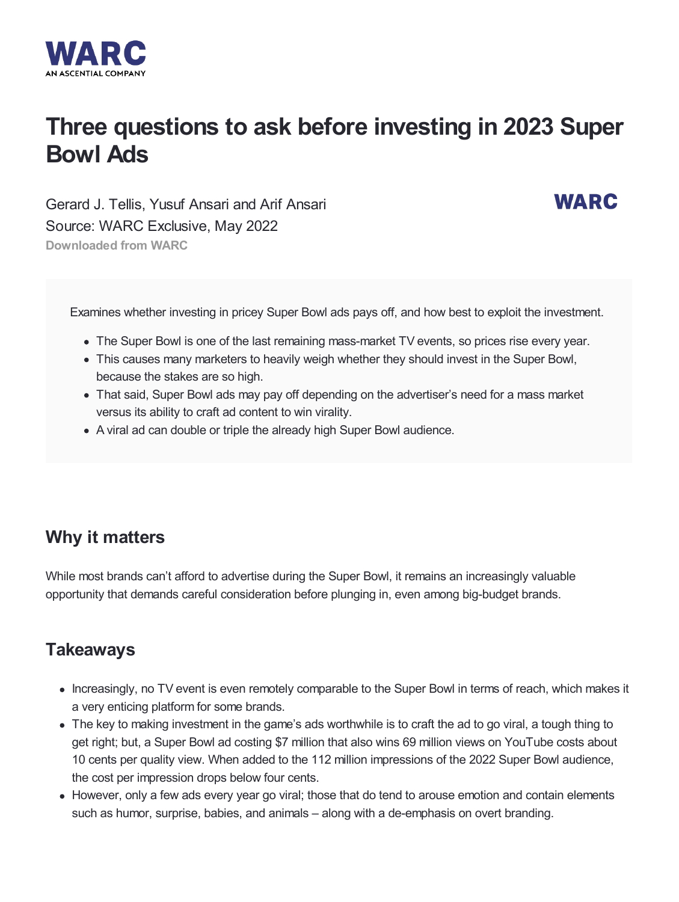

# **Three questions to ask before investing in 2023 Super Bowl Ads**

**WARC** 

Gerard J. Tellis, Yusuf Ansari and Arif Ansari Source: WARC Exclusive, May 2022 **Downloaded from WARC**

Examines whether investing in pricey Super Bowl ads pays off, and how best to exploit the investment.

- The Super Bowl is one of the last remaining mass-market TV events, so prices rise every year.
- This causes many marketers to heavily weigh whether they should invest in the Super Bowl, because the stakes are so high.
- That said, Super Bowl ads may pay off depending on the advertiser's need for a mass market versus its ability to craft ad content to win virality.
- A viral ad can double or triple the already high Super Bowl audience.

### **Why it matters**

While most brands can't afford to advertise during the Super Bowl, it remains an increasingly valuable opportunity that demands careful consideration before plunging in, even among big-budget brands.

#### **Takeaways**

- Increasingly, no TV event is even remotely comparable to the Super Bowl in terms of reach, which makes it a very enticing platform for some brands.
- The key to making investment in the game's ads worthwhile is to craft the ad to go viral, a tough thing to get right; but, a Super Bowl ad costing \$7 million that also wins 69 million views on YouTube costs about 10 cents per quality view. When added to the 112 million impressions of the 2022 Super Bowl audience, the cost per impression drops below four cents.
- However, only a few ads every year go viral; those that do tend to arouse emotion and contain elements such as humor, surprise, babies, and animals – along with a de-emphasis on overt branding.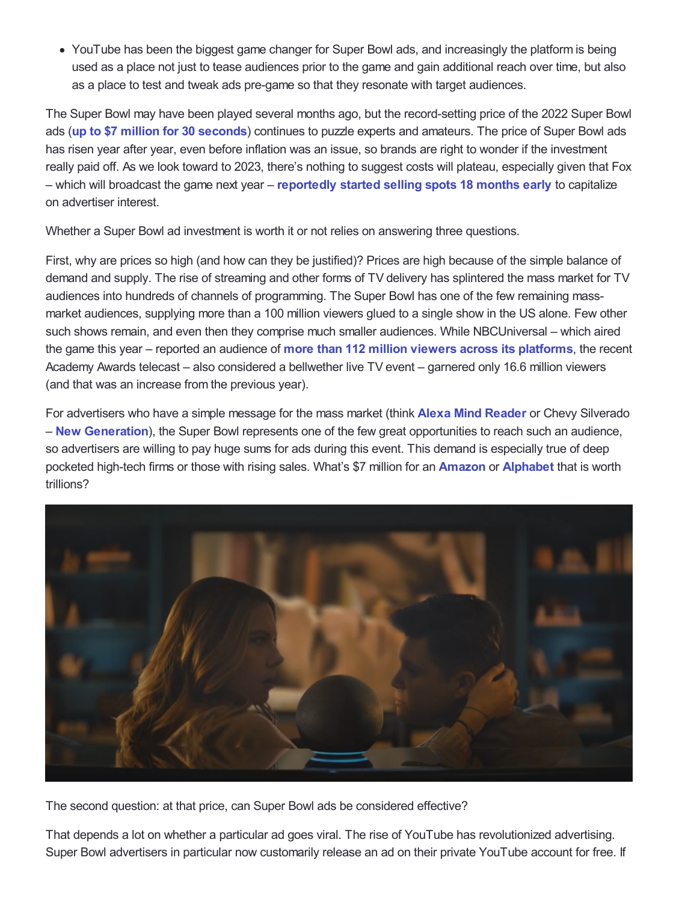YouTube has been the biggest game changer for Super Bowl ads, and increasingly the platform is being used as a place not just to tease audiences prior to the game and gain additional reach over time, but also as a place to test and tweak ads pre-game so that they resonate with target audiences.

The Super Bowl may have been played several months ago, but the record-setting price of the 2022 Super Bowl ads (**up to \$7 million for 30 [seconds](https://www.bloomberg.com/news/articles/2022-02-03/nbc-sells-out-of-super-bowl-ads-as-some-spots-go-for-7-million)**) continues to puzzle experts and amateurs. The price of Super Bowl ads has risen year after year, even before inflation was an issue, so brands are right to wonder if the investment really paid off. As we look toward to 2023, there's nothing to suggest costs will plateau, especially given that Fox – which will broadcast the game next year – **[reportedly](https://www.nexttv.com/news/fox-selling-2023-super-bowl-spot-as-sports-ad-market-heats-up) started selling spots 18 months early** to capitalize on advertiser interest.

Whether a Super Bowl ad investment is worth it or not relies on answering three questions.

First, why are prices so high (and how can they be justified)? Prices are high because of the simple balance of demand and supply. The rise of streaming and other forms of TV delivery has splintered the mass market for TV audiences into hundreds of channels of programming. The Super Bowl has one of the few remaining massmarket audiences, supplying more than a 100 million viewers glued to a single show in the US alone. Few other such shows remain, and even then they comprise much smaller audiences. While NBCUniversal – which aired the game this year – reported an audience of **more than 112 million viewers across its [platforms](https://www.sportspromedia.com/news/2022-super-bowl-tv-ratings-nbc-streaming-nfl/)**, the recent Academy Awards telecast – also considered a bellwether live TV event – garnered only 16.6 million viewers (and that was an increase from the previous year).

For advertisers who have a simple message for the mass market (think **Alexa Mind [Reader](https://youtu.be/d0UEAr8I9G8)** or Chevy Silverado – **New [Generation](https://youtu.be/2bZYqFsU72Y)**), the Super Bowl represents one of the few great opportunities to reach such an audience, so advertisers are willing to pay huge sums for ads during this event. This demand is especially true of deep pocketed high-tech firms or those with rising sales. What's \$7 million for an **[Amazon](https://finance.yahoo.com/quote/AMZN?p=AMZN&.tsrc=fin-srch)** or **[Alphabet](https://finance.yahoo.com/quote/GOOGL?p=GOOGL&.tsrc=fin-srch)** that is worth trillions?



The second question: at that price, can Super Bowl ads be considered effective?

That depends a lot on whether a particular ad goes viral. The rise of YouTube has revolutionized advertising. Super Bowl advertisers in particular now customarily release an ad on their private YouTube account for free. If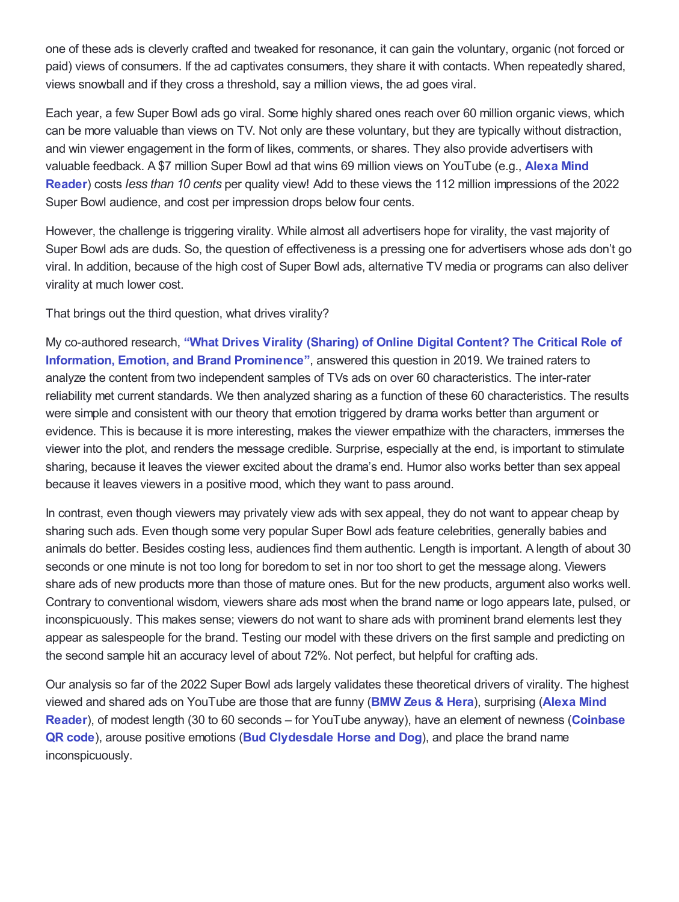one of these ads is cleverly crafted and tweaked for resonance, it can gain the voluntary, organic (not forced or paid) views of consumers. If the ad captivates consumers, they share it with contacts. When repeatedly shared, views snowball and if they cross a threshold, say a million views, the ad goes viral.

Each year, a few Super Bowl ads go viral. Some highly shared ones reach over 60 million organic views, which can be more valuable than views on TV. Not only are these voluntary, but they are typically without distraction, and win viewer engagement in the form of likes, comments, or shares. They also provide advertisers with valuable feedback. A \$7 million Super Bowl ad that wins 69 million views on YouTube (e.g., **Alexa Mind Reader**) costs *less than 10 cents* per quality view! Add to these views the 112 million [impressions](https://www.youtube.com/watch?v=d0UEAr8I9G8) of the 2022 Super Bowl audience, and cost per impression drops below four cents.

However, the challenge is triggering virality. While almost all advertisers hope for virality, the vast majority of Super Bowl ads are duds. So, the question of effectiveness is a pressing one for advertisers whose ads don't go viral. In addition, because of the high cost of Super Bowl ads, alternative TV media or programs can also deliver virality at much lower cost.

That brings out the third question, what drives virality?

My co-authored research, **"What Drives Virality (Sharing) of Online Digital Content? The Critical Role of Information, Emotion, and Brand [Prominence"](https://journals.sagepub.com/doi/abs/10.1177/0022242919841034)**, answered this question in 2019. We trained raters to analyze the content from two independent samples of TVs ads on over 60 characteristics. The inter-rater reliability met current standards. We then analyzed sharing as a function of these 60 characteristics. The results were simple and consistent with our theory that emotion triggered by drama works better than argument or evidence. This is because it is more interesting, makes the viewer empathize with the characters, immerses the viewer into the plot, and renders the message credible. Surprise, especially at the end, is important to stimulate sharing, because it leaves the viewer excited about the drama's end. Humor also works better than sex appeal because it leaves viewers in a positive mood, which they want to pass around.

In contrast, even though viewers may privately view ads with sex appeal, they do not want to appear cheap by sharing such ads. Even though some very popular Super Bowl ads feature celebrities, generally babies and animals do better. Besides costing less, audiences find them authentic. Length is important. A length of about 30 seconds or one minute is not too long for boredom to set in nor too short to get the message along. Viewers share ads of new products more than those of mature ones. But for the new products, argument also works well. Contrary to conventional wisdom, viewers share ads most when the brand name or logo appears late, pulsed, or inconspicuously. This makes sense; viewers do not want to share ads with prominent brand elements lest they appear as salespeople for the brand. Testing our model with these drivers on the first sample and predicting on the second sample hit an accuracy level of about 72%. Not perfect, but helpful for crafting ads.

Our analysis so far of the 2022 Super Bowl ads largely validates these theoretical drivers of virality. The highest viewed and shared ads on YouTube are those that are funny (**[BMW](https://www.youtube.com/watch?v=xDwN4CPRS3Q) Zeus & Hera**), [surprising](https://youtu.be/d0UEAr8I9G8) (**Alexa Mind Reader**), of modest length (30 to 60 seconds – for YouTube anyway), have an element of newness (**Coinbase QR code**), arouse positive emotions (**Bud [Clydesdale](https://youtu.be/eIUD_NE1BDo) Horse and Dog**), and place the brand name inconspicuously.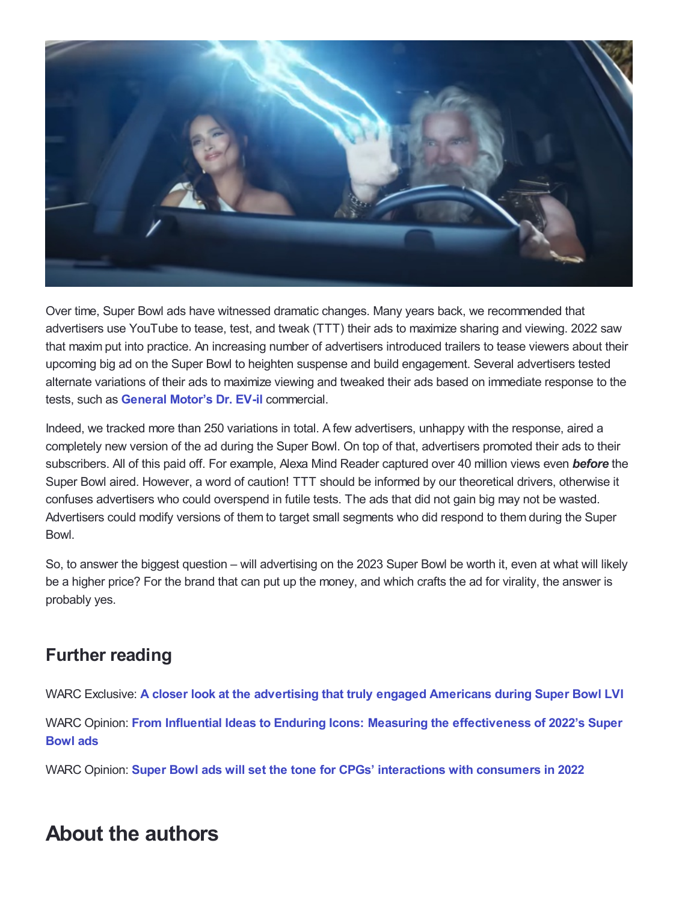

Over time, Super Bowl ads have witnessed dramatic changes. Many years back, we recommended that advertisers use YouTube to tease, test, and tweak (TTT) their ads to maximize sharing and viewing. 2022 saw that maxim put into practice. An increasing number of advertisers introduced trailers to tease viewers about their upcoming big ad on the Super Bowl to heighten suspense and build engagement. Several advertisers tested alternate variations of their ads to maximize viewing and tweaked their ads based on immediate response to the tests, such as **[General](https://youtu.be/uEuEBT0TWQE) Motor's Dr. EV-il** commercial.

Indeed, we tracked more than 250 variations in total. A few advertisers, unhappy with the response, aired a completely new version of the ad during the Super Bowl. On top of that, advertisers promoted their ads to their subscribers. All of this paid off. For example, Alexa Mind Reader captured over 40 million views even *before* the Super Bowl aired. However, a word of caution! TTT should be informed by our theoretical drivers, otherwise it confuses advertisers who could overspend in futile tests. The ads that did not gain big may not be wasted. Advertisers could modify versions of them to target small segments who did respond to them during the Super Bowl.

So, to answer the biggest question – will advertising on the 2023 Super Bowl be worth it, even at what will likely be a higher price? For the brand that can put up the money, and which crafts the ad for virality, the answer is probably yes.

### **Further reading**

WARC Exclusive: **A closer look at the [advertising](https://www.warc.com/content/article/warc-exclusive/a-closer-look-at-the-advertising-that-truly-engaged-americans-during-super-bowl-lvi/143543) that truly engaged Americans during Super Bowl LVI**

WARC Opinion: **From Influential Ideas to Enduring Icons: Measuring the [effectiveness](https://www.warc.com/newsandopinion/opinion/from-influential-ideas-to-enduring-icons-measuring-the-effectiveness-of-2022s-super-bowl-ads/5609) of 2022's Super Bowl ads**

WARC Opinion: **Super Bowl ads will set the tone for CPGs' [interactions](https://www.warc.com/newsandopinion/opinion/super-bowl-ads-will-set-the-tone-for-cpgs-interactions-with-consumers-in-2022/5594) with consumers in 2022**

## **About the authors**